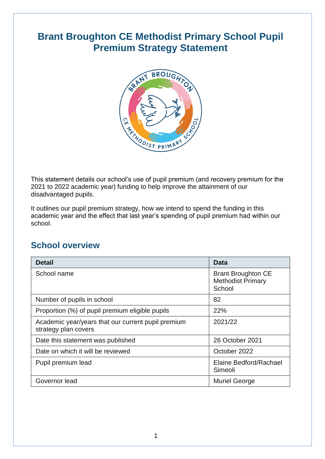### **Brant Broughton CE Methodist Primary School Pupil Premium Strategy Statement**



This statement details our school's use of pupil premium (and recovery premium for the 2021 to 2022 academic year) funding to help improve the attainment of our disadvantaged pupils.

It outlines our pupil premium strategy, how we intend to spend the funding in this academic year and the effect that last year's spending of pupil premium had within our school.

### **School overview**

| <b>Detail</b>                                                              | Data                                                            |
|----------------------------------------------------------------------------|-----------------------------------------------------------------|
| School name                                                                | <b>Brant Broughton CE</b><br><b>Methodist Primary</b><br>School |
| Number of pupils in school                                                 | 82                                                              |
| Proportion (%) of pupil premium eligible pupils                            | 22%                                                             |
| Academic year/years that our current pupil premium<br>strategy plan covers | 2021/22                                                         |
| Date this statement was published                                          | 26 October 2021                                                 |
| Date on which it will be reviewed                                          | October 2022                                                    |
| Pupil premium lead                                                         | Elaine Bedford/Rachael<br>Simeoli                               |
| Governor lead                                                              | <b>Muriel George</b>                                            |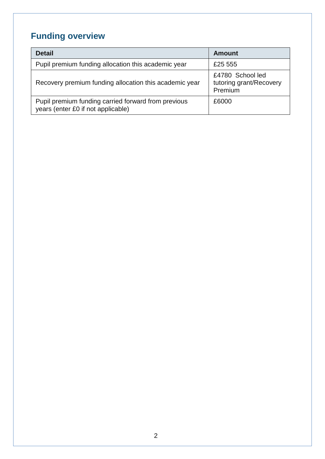# **Funding overview**

| <b>Detail</b>                                                                             | <b>Amount</b>                                          |
|-------------------------------------------------------------------------------------------|--------------------------------------------------------|
| Pupil premium funding allocation this academic year                                       | £25 555                                                |
| Recovery premium funding allocation this academic year                                    | £4780 School led<br>tutoring grant/Recovery<br>Premium |
| Pupil premium funding carried forward from previous<br>years (enter £0 if not applicable) | £6000                                                  |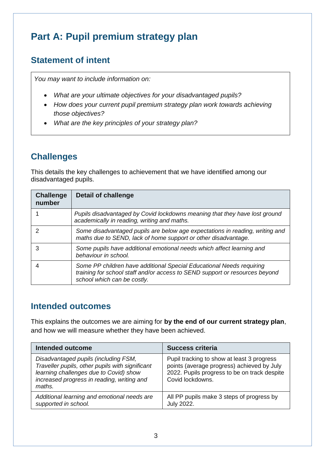## **Part A: Pupil premium strategy plan**

### **Statement of intent**

*You may want to include information on:*

- *What are your ultimate objectives for your disadvantaged pupils?*
- *How does your current pupil premium strategy plan work towards achieving those objectives?*
- *What are the key principles of your strategy plan?*

### **Challenges**

This details the key challenges to achievement that we have identified among our disadvantaged pupils.

| <b>Challenge</b><br>number | <b>Detail of challenge</b>                                                                                                                                                         |
|----------------------------|------------------------------------------------------------------------------------------------------------------------------------------------------------------------------------|
|                            | Pupils disadvantaged by Covid lockdowns meaning that they have lost ground<br>academically in reading, writing and maths.                                                          |
|                            | Some disadvantaged pupils are below age expectations in reading, writing and<br>maths due to SEND, lack of home support or other disadvantage.                                     |
| 3                          | Some pupils have additional emotional needs which affect learning and<br>behaviour in school.                                                                                      |
|                            | Some PP children have additional Special Educational Needs requiring<br>training for school staff and/or access to SEND support or resources beyond<br>school which can be costly. |

### **Intended outcomes**

This explains the outcomes we are aiming for **by the end of our current strategy plan**, and how we will measure whether they have been achieved.

| <b>Intended outcome</b>                                                                                                                                                                   | <b>Success criteria</b>                                                                                                                                      |  |
|-------------------------------------------------------------------------------------------------------------------------------------------------------------------------------------------|--------------------------------------------------------------------------------------------------------------------------------------------------------------|--|
| Disadvantaged pupils (including FSM,<br>Traveller pupils, other pupils with significant<br>learning challenges due to Covid) show<br>increased progress in reading, writing and<br>maths. | Pupil tracking to show at least 3 progress<br>points (average progress) achieved by July<br>2022. Pupils progress to be on track despite<br>Covid lockdowns. |  |
| Additional learning and emotional needs are<br>supported in school.                                                                                                                       | All PP pupils make 3 steps of progress by<br><b>July 2022.</b>                                                                                               |  |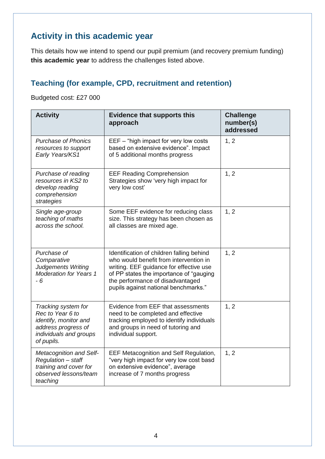### **Activity in this academic year**

This details how we intend to spend our pupil premium (and recovery premium funding) **this academic year** to address the challenges listed above.

#### **Teaching (for example, CPD, recruitment and retention)**

Budgeted cost: £27 000

| <b>Activity</b>                                                                                                                 | <b>Evidence that supports this</b><br>approach                                                                                                                                                                                                        | <b>Challenge</b><br>number(s)<br>addressed |
|---------------------------------------------------------------------------------------------------------------------------------|-------------------------------------------------------------------------------------------------------------------------------------------------------------------------------------------------------------------------------------------------------|--------------------------------------------|
| <b>Purchase of Phonics</b><br>resources to support<br>Early Years/KS1                                                           | EEF – "high impact for very low costs<br>based on extensive evidence". Impact<br>of 5 additional months progress                                                                                                                                      | 1, 2                                       |
| Purchase of reading<br>resources in KS2 to<br>develop reading<br>comprehension<br>strategies                                    | <b>EEF Reading Comprehension</b><br>Strategies show 'very high impact for<br>very low cost'                                                                                                                                                           | 1, 2                                       |
| Single age-group<br>teaching of maths<br>across the school.                                                                     | Some EEF evidence for reducing class<br>size. This strategy has been chosen as<br>all classes are mixed age.                                                                                                                                          | 1, 2                                       |
| Purchase of<br>Comparative<br><b>Judgements Writing</b><br><b>Moderation for Years 1</b><br>- 6                                 | Identification of children falling behind<br>who would benefit from intervention in<br>writing. EEF guidance for effective use<br>of PP states the importance of "gauging<br>the performance of disadvantaged<br>pupils against national benchmarks." | 1, 2                                       |
| Tracking system for<br>Rec to Year 6 to<br>identify, monitor and<br>address progress of<br>individuals and groups<br>of pupils. | Evidence from EEF that assessments<br>need to be completed and effective<br>tracking employed to identify individuals<br>and groups in need of tutoring and<br>individual support.                                                                    | 1, 2                                       |
| <b>Metacognition and Self-</b><br>Regulation - staff<br>training and cover for<br>observed lessons/team<br>teaching             | EEF Metacognition and Self Regulation,<br>"very high impact for very low cost basd<br>on extensive evidence", average<br>increase of 7 months progress                                                                                                | 1, 2                                       |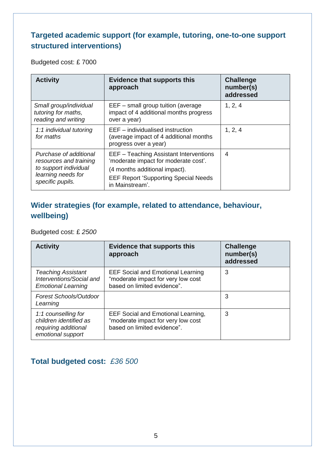#### **Targeted academic support (for example, tutoring, one-to-one support structured interventions)**

Budgeted cost: £ 7000

| <b>Activity</b>                                                                                                                             | <b>Evidence that supports this</b><br>approach                                                                                                                                    | <b>Challenge</b><br>number(s)<br>addressed |
|---------------------------------------------------------------------------------------------------------------------------------------------|-----------------------------------------------------------------------------------------------------------------------------------------------------------------------------------|--------------------------------------------|
| Small group/individual<br>tutoring for maths,<br>reading and writing                                                                        | EEF - small group tuition (average<br>impact of 4 additional months progress<br>over a year)                                                                                      | 1, 2, 4                                    |
| EEF – individualised instruction<br>1:1 individual tutoring<br>for maths<br>(average impact of 4 additional months<br>progress over a year) |                                                                                                                                                                                   | 1, 2, 4                                    |
| Purchase of additional<br>resources and training<br>to support individual<br>learning needs for<br>specific pupils.                         | EEF - Teaching Assistant Interventions<br>'moderate impact for moderate cost'.<br>(4 months additional impact).<br><b>EEF Report 'Supporting Special Needs</b><br>in Mainstream'. | 4                                          |

#### **Wider strategies (for example, related to attendance, behaviour, wellbeing)**

Budgeted cost: £ *2500*

| <b>Activity</b>                                                                            | <b>Evidence that supports this</b><br>approach                                                                 | <b>Challenge</b><br>number(s)<br>addressed |
|--------------------------------------------------------------------------------------------|----------------------------------------------------------------------------------------------------------------|--------------------------------------------|
| <b>Teaching Assistant</b><br>Interventions/Social and<br><b>Emotional Learning</b>         | <b>EEF Social and Emotional Learning</b><br>"moderate impact for very low cost<br>based on limited evidence".  | 3                                          |
| <b>Forest Schools/Outdoor</b><br>Learning                                                  |                                                                                                                | 3                                          |
| 1:1 counselling for<br>children identified as<br>requiring additional<br>emotional support | <b>EEF Social and Emotional Learning,</b><br>"moderate impact for very low cost<br>based on limited evidence". | 3                                          |

#### **Total budgeted cost:** *£36 500*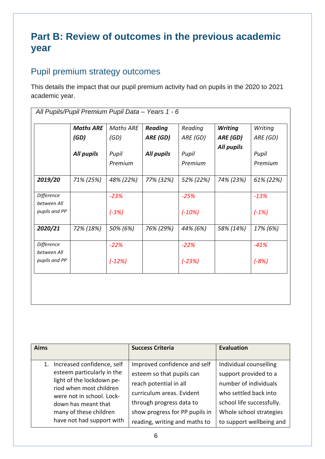### **Part B: Review of outcomes in the previous academic year**

### Pupil premium strategy outcomes

This details the impact that our pupil premium activity had on pupils in the 2020 to 2021 academic year.

|                              | <b>Maths ARE</b> | <b>Maths ARE</b> | <b>Reading</b> | Reading   | <b>Writing</b> | Writing   |
|------------------------------|------------------|------------------|----------------|-----------|----------------|-----------|
|                              | (GD)             | (GD)             | ARE (GD)       | ARE (GD)  | ARE (GD)       | ARE (GD)  |
|                              | All pupils       | Pupil            | All pupils     | Pupil     | All pupils     | Pupil     |
|                              |                  | Premium          |                | Premium   |                | Premium   |
| 2019/20                      | 71% (25%)        | 48% (22%)        | 77% (32%)      | 52% (22%) | 74% (23%)      | 61% (22%) |
| Difference                   |                  | $-23%$           |                | $-25%$    |                | $-13%$    |
| between All<br>pupils and PP |                  | $(-3%)$          |                | $(-10%)$  |                | $(-1%)$   |
| 2020/21                      | 72% (18%)        | 50% (6%)         | 76% (29%)      | 44% (6%)  | 58% (14%)      | 17% (6%)  |
| Difference<br>between All    |                  | $-22%$           |                | $-22%$    |                | $-41%$    |
| pupils and PP                |                  | $(-12%)$         |                | $(-23%)$  |                | $(-8%)$   |

| <b>Aims</b>                                                                                                                                                                                                                 | <b>Success Criteria</b>                                                                                                                                                                                         | <b>Evaluation</b>                                                                                                                                                                     |
|-----------------------------------------------------------------------------------------------------------------------------------------------------------------------------------------------------------------------------|-----------------------------------------------------------------------------------------------------------------------------------------------------------------------------------------------------------------|---------------------------------------------------------------------------------------------------------------------------------------------------------------------------------------|
| Increased confidence, self<br>esteem particularly in the<br>light of the lockdown pe-<br>riod when most children<br>were not in school. Lock-<br>down has meant that<br>many of these children<br>have not had support with | Improved confidence and self<br>esteem so that pupils can<br>reach potential in all<br>curriculum areas. Evident<br>through progress data to<br>show progress for PP pupils in<br>reading, writing and maths to | Individual counselling<br>support provided to a<br>number of individuals<br>who settled back into<br>school life successfully.<br>Whole school strategies<br>to support wellbeing and |